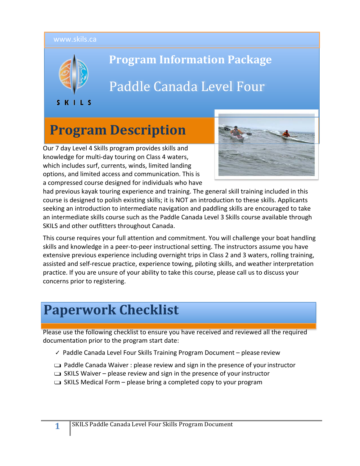#### www.skils.ca



## **Program Information Package**

# Paddle Canada Level Four

SKILS

# **Program Description**

Our 7 day Level 4 Skills program provides skills and knowledge for multi-day touring on Class 4 waters, which includes surf, currents, winds, limited landing options, and limited access and communication. This is a compressed course designed for individuals who have



had previous kayak touring experience and training. The general skill training included in this course is designed to polish existing skills; it is NOT an introduction to these skills. Applicants seeking an introduction to intermediate navigation and paddling skills are encouraged to take an intermediate skills course such as the Paddle Canada Level 3 Skills course available through SKILS and other outfitters throughout Canada.

This course requires your full attention and commitment. You will challenge your boat handling skills and knowledge in a peer-to-peer instructional setting. The instructors assume you have extensive previous experience including overnight trips in Class 2 and 3 waters, rolling training, assisted and self-rescue practice, experience towing, piloting skills, and weather interpretation practice. If you are unsure of your ability to take this course, please call us to discuss your concerns prior to registering.

# **Paperwork Checklist**

Please use the following checklist to ensure you have received and reviewed all the required documentation prior to the program start date:

- ✓ Paddle Canada Level Four Skills Training Program Document please review
- ❑ Paddle Canada Waiver : please review and sign in the presence of yourinstructor
- $\Box$  SKILS Waiver please review and sign in the presence of your instructor
- $\Box$  SKILS Medical Form please bring a completed copy to your program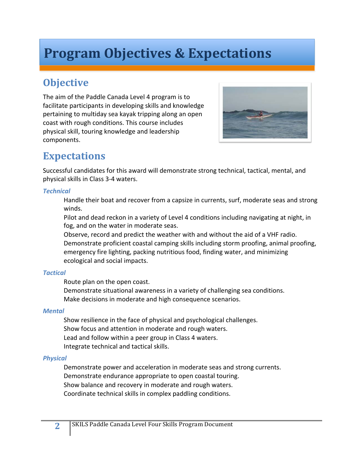# **Program Objectives & Expectations**

# **Objective**

The aim of the Paddle Canada Level 4 program is to facilitate participants in developing skills and knowledge pertaining to multiday sea kayak tripping along an open coast with rough conditions. This course includes physical skill, touring knowledge and leadership components.



## **Expectations**

Successful candidates for this award will demonstrate strong technical, tactical, mental, and physical skills in Class 3-4 waters.

#### *Technical*

Handle their boat and recover from a capsize in currents, surf, moderate seas and strong winds.

Pilot and dead reckon in a variety of Level 4 conditions including navigating at night, in fog, and on the water in moderate seas.

Observe, record and predict the weather with and without the aid of a VHF radio. Demonstrate proficient coastal camping skills including storm proofing, animal proofing, emergency fire lighting, packing nutritious food, finding water, and minimizing ecological and social impacts.

### *Tactical*

Route plan on the open coast.

Demonstrate situational awareness in a variety of challenging sea conditions. Make decisions in moderate and high consequence scenarios.

### *Mental*

Show resilience in the face of physical and psychological challenges. Show focus and attention in moderate and rough waters. Lead and follow within a peer group in Class 4 waters. Integrate technical and tactical skills.

### *Physical*

Demonstrate power and acceleration in moderate seas and strong currents. Demonstrate endurance appropriate to open coastal touring. Show balance and recovery in moderate and rough waters. Coordinate technical skills in complex paddling conditions.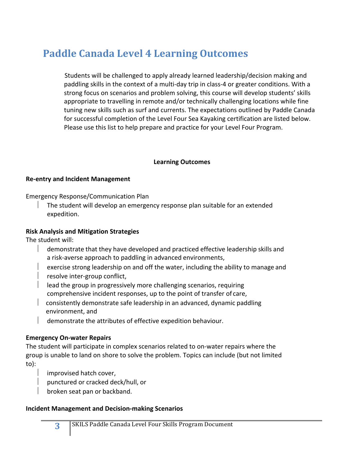# **Paddle Canada Level 4 Learning Outcomes**

Students will be challenged to apply already learned leadership/decision making and paddling skills in the context of a multi-day trip in class-4 or greater conditions. With a strong focus on scenarios and problem solving, this course will develop students' skills appropriate to travelling in remote and/or technically challenging locations while fine tuning new skills such as surf and currents. The expectations outlined by Paddle Canada for successful completion of the Level Four Sea Kayaking certification are listed below. Please use this list to help prepare and practice for your Level Four Program.

#### **Learning Outcomes**

#### **Re-entry and Incident Management**

Emergency Response/Communication Plan

The student will develop an emergency response plan suitable for an extended expedition.

#### **Risk Analysis and Mitigation Strategies**

The student will:

- demonstrate that they have developed and practiced effective leadership skills and a risk-averse approach to paddling in advanced environments,
- exercise strong leadership on and off the water, including the ability to manage and
- resolve inter-group conflict,
- lead the group in progressively more challenging scenarios, requiring comprehensive incident responses, up to the point of transfer of care,
- $\vert$  consistently demonstrate safe leadership in an advanced, dynamic paddling environment, and
- demonstrate the attributes of effective expedition behaviour.

#### **Emergency On-water Repairs**

The student will participate in complex scenarios related to on-water repairs where the group is unable to land on shore to solve the problem. Topics can include (but not limited to):

- improvised hatch cover,
- punctured or cracked deck/hull, or
- broken seat pan or backband.

#### **Incident Management and Decision-making Scenarios**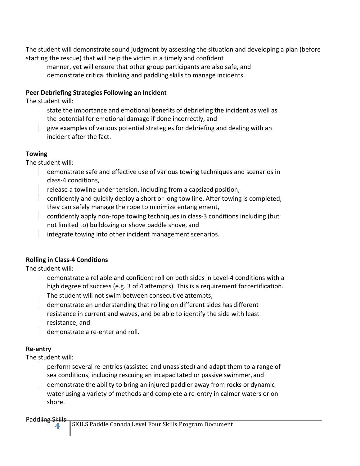The student will demonstrate sound judgment by assessing the situation and developing a plan (before starting the rescue) that will help the victim in a timely and confident

manner, yet will ensure that other group participants are also safe, and demonstrate critical thinking and paddling skills to manage incidents.

### **Peer Debriefing Strategies Following an Incident**

The student will:

- state the importance and emotional benefits of debriefing the incident as well as the potential for emotional damage if done incorrectly, and
- give examples of various potential strategies for debriefing and dealing with an incident after the fact.

## **Towing**

The student will:

- $\parallel$  demonstrate safe and effective use of various towing techniques and scenarios in class-4 conditions,
- release a towline under tension, including from a capsized position,
- $\vert$  confidently and quickly deploy a short or long tow line. After towing is completed, they can safely manage the rope to minimize entanglement,
- $\vert$  confidently apply non-rope towing techniques in class-3 conditions including (but not limited to) bulldozing or shove paddle shove, and
- integrate towing into other incident management scenarios.

## **Rolling in Class-4 Conditions**

The student will:

- $\parallel$  demonstrate a reliable and confident roll on both sides in Level-4 conditions with a high degree of success (e.g. 3 of 4 attempts). This is a requirement forcertification.
- The student will not swim between consecutive attempts,
- demonstrate an understanding that rolling on different sides has different
- resistance in current and waves, and be able to identify the side with least resistance, and
- $\parallel$  demonstrate a re-enter and roll.

## **Re-entry**

The student will:

- $\vert$  perform several re-entries (assisted and unassisted) and adapt them to a range of sea conditions, including rescuing an incapacitated or passive swimmer, and
- demonstrate the ability to bring an injured paddler away from rocks or dynamic
- water using a variety of methods and complete a re-entry in calmer waters or on shore.

Paddling Skills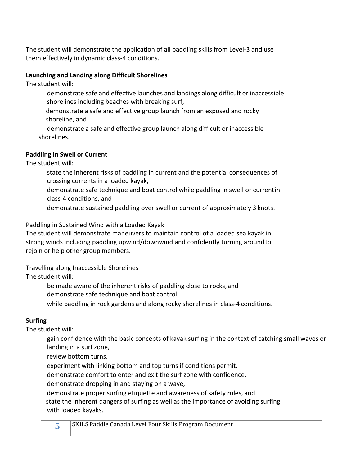The student will demonstrate the application of all paddling skills from Level-3 and use them effectively in dynamic class-4 conditions.

### **Launching and Landing along Difficult Shorelines**

The student will:

- $\parallel$  demonstrate safe and effective launches and landings along difficult or inaccessible shorelines including beaches with breaking surf,
- $\parallel$  demonstrate a safe and effective group launch from an exposed and rocky shoreline, and
- demonstrate a safe and effective group launch along difficult or inaccessible shorelines.

## **Paddling in Swell or Current**

The student will:

- $\parallel$  state the inherent risks of paddling in current and the potential consequences of crossing currents in a loaded kayak,
- $\parallel$  demonstrate safe technique and boat control while paddling in swell or currentin class-4 conditions, and
- $\parallel$  demonstrate sustained paddling over swell or current of approximately 3 knots.

Paddling in Sustained Wind with a Loaded Kayak

The student will demonstrate maneuvers to maintain control of a loaded sea kayak in strong winds including paddling upwind/downwind and confidently turning aroundto rejoin or help other group members.

Travelling along Inaccessible Shorelines

The student will:

- $\parallel$  be made aware of the inherent risks of paddling close to rocks, and demonstrate safe technique and boat control
- while paddling in rock gardens and along rocky shorelines in class-4 conditions.

## **Surfing**

The student will:

- gain confidence with the basic concepts of kayak surfing in the context of catching small waves or landing in a surf zone,
	- review bottom turns,
	- experiment with linking bottom and top turns if conditions permit,
- demonstrate comfort to enter and exit the surf zone with confidence,
- demonstrate dropping in and staying on a wave,
- demonstrate proper surfing etiquette and awareness of safety rules, and state the inherent dangers of surfing as well as the importance of avoiding surfing with loaded kayaks.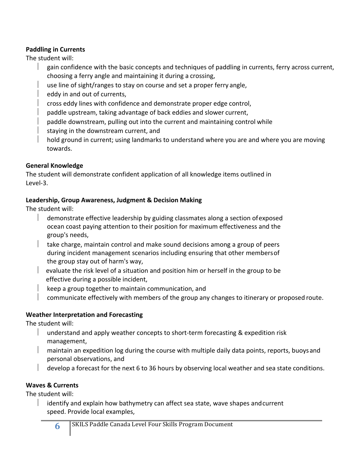### **Paddling in Currents**

The student will:

- gain confidence with the basic concepts and techniques of paddling in currents, ferry across current, choosing a ferry angle and maintaining it during a crossing,
- use line of sight/ranges to stay on course and set a proper ferry angle,
- eddy in and out of currents,
- cross eddy lines with confidence and demonstrate proper edge control,
- paddle upstream, taking advantage of back eddies and slower current,
- paddle downstream, pulling out into the current and maintaining control while
- staying in the downstream current, and
- hold ground in current; using landmarks to understand where you are and where you are moving towards.

### **General Knowledge**

The student will demonstrate confident application of all knowledge items outlined in Level-3.

### **Leadership, Group Awareness, Judgment & Decision Making**

The student will:

- $\parallel$  demonstrate effective leadership by guiding classmates along a section of exposed ocean coast paying attention to their position for maximum effectiveness and the group's needs,
- $\vert$  take charge, maintain control and make sound decisions among a group of peers during incident management scenarios including ensuring that other membersof the group stay out of harm's way,
- $\vert$  evaluate the risk level of a situation and position him or herself in the group to be effective during a possible incident,
	- keep a group together to maintain communication, and
	- communicate effectively with members of the group any changes to itinerary or proposed route.

## **Weather Interpretation and Forecasting**

The student will:

- $\parallel$  understand and apply weather concepts to short-term forecasting & expedition risk management,
- $\parallel$  maintain an expedition log during the course with multiple daily data points, reports, buoysand personal observations, and
- develop a forecast for the next 6 to 36 hours by observing local weather and sea state conditions.

## **Waves & Currents**

The student will:

identify and explain how bathymetry can affect sea state, wave shapes andcurrent speed. Provide local examples,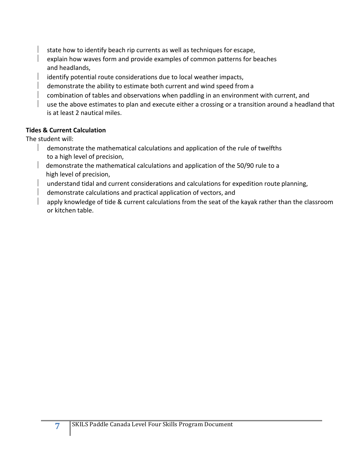state how to identify beach rip currents as well as techniques for escape, explain how waves form and provide examples of common patterns for beaches and headlands,

identify potential route considerations due to local weather impacts,

demonstrate the ability to estimate both current and wind speed from a

combination of tables and observations when paddling in an environment with current, and

use the above estimates to plan and execute either a crossing or a transition around a headland that is at least 2 nautical miles.

#### **Tides & Current Calculation**

The student will:

- $\parallel$  demonstrate the mathematical calculations and application of the rule of twelfths to a high level of precision,
- $\parallel$  demonstrate the mathematical calculations and application of the 50/90 rule to a high level of precision,
- understand tidal and current considerations and calculations for expedition route planning,
- $\parallel$  demonstrate calculations and practical application of vectors, and
- apply knowledge of tide & current calculations from the seat of the kayak rather than the classroom or kitchen table.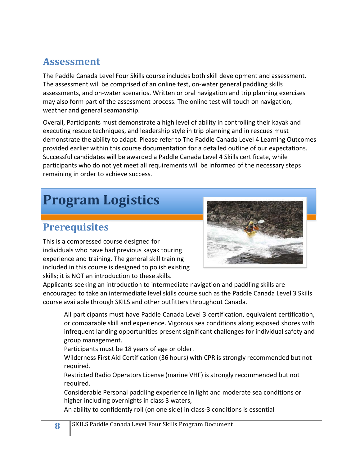## **Assessment**

The Paddle Canada Level Four Skills course includes both skill development and assessment. The assessment will be comprised of an online test, on-water general paddling skills assessments, and on-water scenarios. Written or oral navigation and trip planning exercises may also form part of the assessment process. The online test will touch on navigation, weather and general seamanship.

Overall, Participants must demonstrate a high level of ability in controlling their kayak and executing rescue techniques, and leadership style in trip planning and in rescues must demonstrate the ability to adapt. Please refer to The Paddle Canada Level 4 Learning Outcomes provided earlier within this course documentation for a detailed outline of our expectations. Successful candidates will be awarded a Paddle Canada Level 4 Skills certificate, while participants who do not yet meet all requirements will be informed of the necessary steps remaining in order to achieve success.

# **Program Logistics**

# **Prerequisites**

This is a compressed course designed for individuals who have had previous kayak touring experience and training. The general skill training included in this course is designed to polishexisting skills; it is NOT an introduction to these skills.



Applicants seeking an introduction to intermediate navigation and paddling skills are encouraged to take an intermediate level skills course such as the Paddle Canada Level 3 Skills course available through SKILS and other outfitters throughout Canada.

All participants must have Paddle Canada Level 3 certification, equivalent certification, or comparable skill and experience. Vigorous sea conditions along exposed shores with infrequent landing opportunities present significant challenges for individual safety and group management.

Participants must be 18 years of age or older.

Wilderness First Aid Certification (36 hours) with CPR is strongly recommended but not required.

Restricted Radio Operators License (marine VHF) is strongly recommended but not required.

Considerable Personal paddling experience in light and moderate sea conditions or higher including overnights in class 3 waters,

An ability to confidently roll (on one side) in class-3 conditions is essential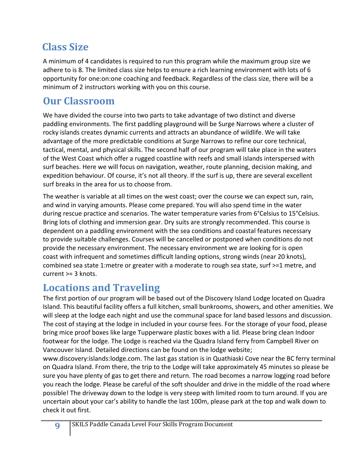# **Class Size**

A minimum of 4 candidates is required to run this program while the maximum group size we adhere to is 8. The limited class size helps to ensure a rich learning environment with lots of 6 opportunity for one:on:one coaching and feedback. Regardless of the class size, there will be a minimum of 2 instructors working with you on this course.

## **Our Classroom**

We have divided the course into two parts to take advantage of two distinct and diverse paddling environments. The first paddling playground will be Surge Narrows where a cluster of rocky islands creates dynamic currents and attracts an abundance of wildlife. We will take advantage of the more predictable conditions at Surge Narrows to refine our core technical, tactical, mental, and physical skills. The second half of our program will take place in the waters of the West Coast which offer a rugged coastline with reefs and small islands interspersed with surf beaches. Here we will focus on navigation, weather, route planning, decision making, and expedition behaviour. Of course, it's not all theory. If the surf is up, there are several excellent surf breaks in the area for us to choose from.

The weather is variable at all times on the west coast; over the course we can expect sun, rain, and wind in varying amounts. Please come prepared. You will also spend time in the water during rescue practice and scenarios. The water temperature varies from 6°Celsius to 15°Celsius. Bring lots of clothing and immersion gear. Dry suits are strongly recommended. This course is dependent on a paddling environment with the sea conditions and coastal features necessary to provide suitable challenges. Courses will be cancelled or postponed when conditions do not provide the necessary environment. The necessary environment we are looking for is open coast with infrequent and sometimes difficult landing options, strong winds (near 20 knots), combined sea state 1:metre or greater with a moderate to rough sea state, surf >=1 metre, and current >= 3 knots.

## **Locations and Traveling**

The first portion of our program will be based out of the Discovery Island Lodge located on Quadra Island. This beautiful facility offers a full kitchen, small bunkrooms, showers, and other amenities. We will sleep at the lodge each night and use the communal space for land based lessons and discussion. The cost of staying at the lodge in included in your course fees. For the storage of your food, please bring mice proof boxes like large Tupperware plastic boxes with a lid. Please bring clean Indoor footwear for the lodge. The Lodge is reached via the Quadra Island ferry from Campbell River on Vancouver Island. Detailed directions can be found on the lodge website;

www.discovery:islands:lodge.com. The last gas station is in Quathiaski Cove near the BC ferry terminal on Quadra Island. From there, the trip to the Lodge will take approximately 45 minutes so please be sure you have plenty of gas to get there and return. The road becomes a narrow logging road before you reach the lodge. Please be careful of the soft shoulder and drive in the middle of the road where possible! The driveway down to the lodge is very steep with limited room to turn around. If you are uncertain about your car's ability to handle the last 100m, please park at the top and walk down to check it out first.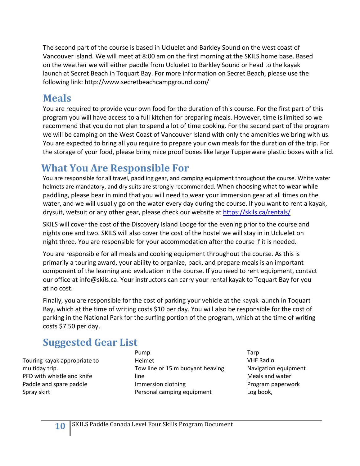The second part of the course is based in Ucluelet and Barkley Sound on the west coast of Vancouver Island. We will meet at 8:00 am on the first morning at the SKILS home base. Based on the weather we will either paddle from Ucluelet to Barkley Sound or head to the kayak launch at Secret Beach in Toquart Bay. For more information on Secret Beach, please use the following link: http://www.secretbeachcampground.com/

## **Meals**

You are required to provide your own food for the duration of this course. For the first part of this program you will have access to a full kitchen for preparing meals. However, time is limited so we recommend that you do not plan to spend a lot of time cooking. For the second part of the program we will be camping on the West Coast of Vancouver Island with only the amenities we bring with us. You are expected to bring all you require to prepare your own meals for the duration of the trip. For the storage of your food, please bring mice proof boxes like large Tupperware plastic boxes with a lid.

# **What You Are Responsible For**

You are responsible for all travel, paddling gear, and camping equipment throughout the course. White water helmets are mandatory, and dry suits are strongly recommended. When choosing what to wear while paddling, please bear in mind that you will need to wear your immersion gear at all times on the water, and we will usually go on the water every day during the course. If you want to rent a kayak, drysuit, wetsuit or any other gear, please check our website at https://skils.ca/rentals/

SKILS will cover the cost of the Discovery Island Lodge for the evening prior to the course and nights one and two. SKILS will also cover the cost of the hostel we will stay in in Ucluelet on night three. You are responsible for your accommodation after the course if it is needed.

You are responsible for all meals and cooking equipment throughout the course. As this is primarily a touring award, your ability to organize, pack, and prepare meals is an important component of the learning and evaluation in the course. If you need to rent equipment, contact our office at info@skils.ca. Your instructors can carry your rental kayak to Toquart Bay for you at no cost.

Finally, you are responsible for the cost of parking your vehicle at the kayak launch in Toquart Bay, which at the time of writing costs \$10 per day. You will also be responsible for the cost of parking in the National Park for the surfing portion of the program, which at the time of writing costs \$7.50 per day.

# **Suggested Gear List**

Touring kayak appropriate to multiday trip. PFD with whistle and knife Paddle and spare paddle Spray skirt

Pump Helmet Tow line or 15 m buoyant heaving line Immersion clothing Personal camping equipment

Tarp VHF Radio Navigation equipment Meals and water Program paperwork Log book,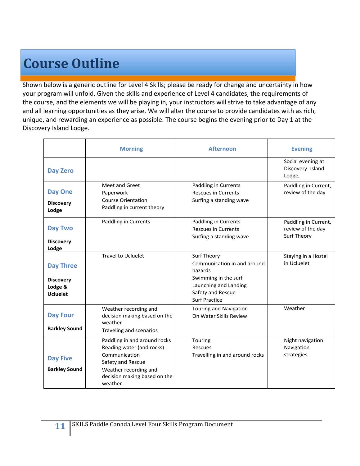# **Course Outline**

Shown below is a generic outline for Level 4 Skills; please be ready for change and uncertainty in how your program will unfold. Given the skills and experience of Level 4 candidates, the requirements of the course, and the elements we will be playing in, your instructors will strive to take advantage of any and all learning opportunities as they arise. We will alter the course to provide candidates with as rich, unique, and rewarding an experience as possible. The course begins the evening prior to Day 1 at the Discovery Island Lodge.

|                                                                    | <b>Morning</b>                                                                                                                                                      | <b>Afternoon</b>                                                                                                                                    | <b>Evening</b>                                           |
|--------------------------------------------------------------------|---------------------------------------------------------------------------------------------------------------------------------------------------------------------|-----------------------------------------------------------------------------------------------------------------------------------------------------|----------------------------------------------------------|
| <b>Day Zero</b>                                                    |                                                                                                                                                                     |                                                                                                                                                     | Social evening at<br>Discovery Island<br>Lodge,          |
| <b>Day One</b><br><b>Discovery</b><br>Lodge                        | Meet and Greet<br>Paperwork<br><b>Course Orientation</b><br>Paddling in current theory                                                                              | Paddling in Currents<br><b>Rescues in Currents</b><br>Surfing a standing wave                                                                       | Paddling in Current,<br>review of the day                |
| <b>Day Two</b><br><b>Discovery</b><br>Lodge                        | Paddling in Currents                                                                                                                                                | Paddling in Currents<br><b>Rescues in Currents</b><br>Surfing a standing wave                                                                       | Paddling in Current,<br>review of the day<br>Surf Theory |
| <b>Day Three</b><br><b>Discovery</b><br>Lodge &<br><b>Ucluelet</b> | <b>Travel to Ucluelet</b>                                                                                                                                           | Surf Theory<br>Communication in and around<br>hazards<br>Swimming in the surf<br>Launching and Landing<br>Safety and Rescue<br><b>Surf Practice</b> | Staying in a Hostel<br>in Ucluelet                       |
| <b>Day Four</b><br><b>Barkley Sound</b>                            | Weather recording and<br>decision making based on the<br>weather<br>Traveling and scenarios                                                                         | <b>Touring and Navigation</b><br>On Water Skills Review                                                                                             | Weather                                                  |
| <b>Day Five</b><br><b>Barkley Sound</b>                            | Paddling in and around rocks<br>Reading water (and rocks)<br>Communication<br>Safety and Rescue<br>Weather recording and<br>decision making based on the<br>weather | Touring<br>Rescues<br>Travelling in and around rocks                                                                                                | Night navigation<br>Navigation<br>strategies             |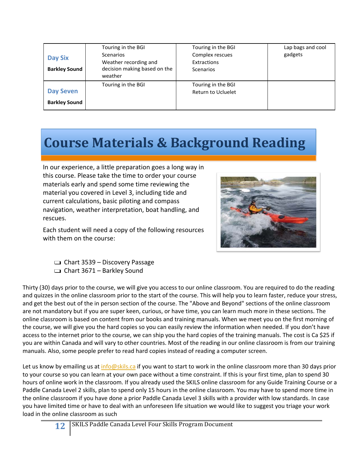| <b>Day Six</b><br><b>Barkley Sound</b> | Touring in the BGI<br><b>Scenarios</b><br>Weather recording and<br>decision making based on the | Touring in the BGI<br>Complex rescues<br>Extractions<br><b>Scenarios</b> | Lap bags and cool<br>gadgets |
|----------------------------------------|-------------------------------------------------------------------------------------------------|--------------------------------------------------------------------------|------------------------------|
| <b>Day Seven</b>                       | weather                                                                                         | Touring in the BGI                                                       |                              |
| <b>Barkley Sound</b>                   | Touring in the BGI                                                                              | <b>Return to Ucluelet</b>                                                |                              |

# **Course Materials & Background Reading**

In our experience, a little preparation goes a long way in this course. Please take the time to order your course materials early and spend some time reviewing the material you covered in Level 3, including tide and current calculations, basic piloting and compass navigation, weather interpretation, boat handling, and rescues.

Each student will need a copy of the following resources with them on the course:



- ❑ Chart 3539 Discovery Passage
- $\Box$  Chart 3671 Barkley Sound

Thirty (30) days prior to the course, we will give you access to our online classroom. You are required to do the reading and quizzes in the online classroom prior to the start of the course. This will help you to learn faster, reduce your stress, and get the best out of the in person section of the course. The "Above and Beyond" sections of the online classroom are not mandatory but if you are super keen, curious, or have time, you can learn much more in these sections. The online classroom is based on content from our books and training manuals. When we meet you on the first morning of the course, we will give you the hard copies so you can easily review the information when needed. If you don't have access to the internet prior to the course, we can ship you the hard copies of the training manuals. The cost is Ca \$25 if you are within Canada and will vary to other countries. Most of the reading in our online classroom is from our training manuals. Also, some people prefer to read hard copies instead of reading a computer screen.

Let us know by emailing us at info@skils.ca if you want to start to work in the online classroom more than 30 days prior to your course so you can learn at your own pace without a time constraint. If this is your first time, plan to spend 30 hours of online work in the classroom. If you already used the SKILS online classroom for any Guide Training Course or a Paddle Canada Level 2 skills, plan to spend only 15 hours in the online classroom. You may have to spend more time in the online classroom if you have done a prior Paddle Canada Level 3 skills with a provider with low standards. In case you have limited time or have to deal with an unforeseen life situation we would like to suggest you triage your work load in the online classroom as such